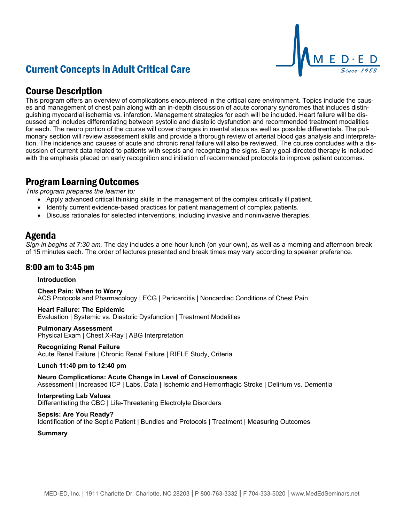# Current Concepts in Adult Critical Care



## Course Description

This program offers an overview of complications encountered in the critical care environment. Topics include the causes and management of chest pain along with an in-depth discussion of acute coronary syndromes that includes distinguishing myocardial ischemia vs. infarction. Management strategies for each will be included. Heart failure will be discussed and includes differentiating between systolic and diastolic dysfunction and recommended treatment modalities for each. The neuro portion of the course will cover changes in mental status as well as possible differentials. The pulmonary section will review assessment skills and provide a thorough review of arterial blood gas analysis and interpretation. The incidence and causes of acute and chronic renal failure will also be reviewed. The course concludes with a discussion of current data related to patients with sepsis and recognizing the signs. Early goal-directed therapy is included with the emphasis placed on early recognition and initiation of recommended protocols to improve patient outcomes.

## Program Learning Outcomes

*This program prepares the learner to:*

- Apply advanced critical thinking skills in the management of the complex critically ill patient.
- Identify current evidence-based practices for patient management of complex patients.
- Discuss rationales for selected interventions, including invasive and noninvasive therapies.

## Agenda

*Sign-in begins at 7:30 am.* The day includes a one-hour lunch (on your own), as well as a morning and afternoon break of 15 minutes each. The order of lectures presented and break times may vary according to speaker preference.

### 8:00 am to 3:45 pm

#### **Introduction**

**Chest Pain: When to Worry** ACS Protocols and Pharmacology | ECG | Pericarditis | Noncardiac Conditions of Chest Pain

**Heart Failure: The Epidemic** Evaluation | Systemic vs. Diastolic Dysfunction | Treatment Modalities

#### **Pulmonary Assessment**

Physical Exam | Chest X-Ray | ABG Interpretation

#### **Recognizing Renal Failure**

Acute Renal Failure | Chronic Renal Failure | RIFLE Study, Criteria

#### **Lunch 11:40 pm to 12:40 pm**

**Neuro Complications: Acute Change in Level of Consciousness** Assessment | Increased ICP | Labs, Data | Ischemic and Hemorrhagic Stroke | Delirium vs. Dementia

#### **Interpreting Lab Values**

Differentiating the CBC | Life-Threatening Electrolyte Disorders

#### **Sepsis: Are You Ready?**

Identification of the Septic Patient | Bundles and Protocols | Treatment | Measuring Outcomes

#### **Summary**